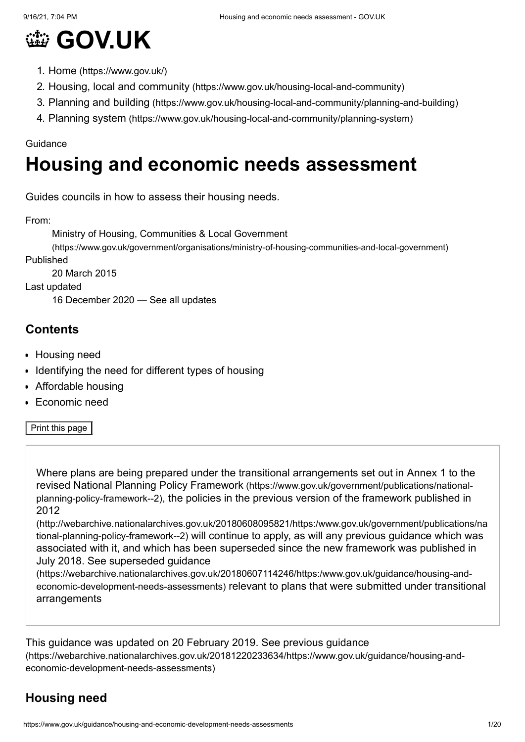

- 1. Home [\(https://www.gov.uk/\)](https://www.gov.uk/)
- 2. Housing, local and community [\(https://www.gov.uk/housing-local-and-community\)](https://www.gov.uk/housing-local-and-community)
- 3. Planning and building [\(https://www.gov.uk/housing-local-and-community/planning-and-building\)](https://www.gov.uk/housing-local-and-community/planning-and-building)
- 4. Planning system [\(https://www.gov.uk/housing-local-and-community/planning-system\)](https://www.gov.uk/housing-local-and-community/planning-system)

#### Guidance

# **Housing and economic needs assessment**

Guides councils in how to assess their housing needs.

From:

Ministry of Housing, Communities & Local Government

[\(https://www.gov.uk/government/organisations/ministry-of-housing-communities-and-local-government\)](https://www.gov.uk/government/organisations/ministry-of-housing-communities-and-local-government) Published

20 March 2015

Last updated

16 December 2020 — See all [updates](#page-18-0)

#### **Contents**

- [Housing need](#page-0-0)
- [Identifying the need for different types of housing](#page-12-0)
- [Affordable housing](#page-12-1)
- [Economic need](#page-15-0)

Print this page

Where plans are being prepared under the transitional arrangements set out in Annex 1 to the revised National Planning Policy Framework (https://www.gov.uk/government/publications/nationalplanning-policy-framework--2)[, the policies in the previous version of the framework published in](https://www.gov.uk/government/publications/national-planning-policy-framework--2) 2012

[\(http://webarchive.nationalarchives.gov.uk/20180608095821/https:/www.gov.uk/government/publications/na](http://webarchive.nationalarchives.gov.uk/20180608095821/https:/www.gov.uk/government/publications/national-planning-policy-framework--2) tional-planning-policy-framework--2) will continue to apply, as will any previous guidance which was associated with it, and which has been superseded since the new framework was published in July 2018. See superseded guidance

[\(https://webarchive.nationalarchives.gov.uk/20180607114246/https:/www.gov.uk/guidance/housing-and](https://webarchive.nationalarchives.gov.uk/20180607114246/https:/www.gov.uk/guidance/housing-and-economic-development-needs-assessments)economic-development-needs-assessments) relevant to plans that were submitted under transitional arrangements

This guidance was updated on 20 February 2019. See previous guidance [\(https://webarchive.nationalarchives.gov.uk/20181220233634/https://www.gov.uk/guidance/housing-and](https://webarchive.nationalarchives.gov.uk/20181220233634/https://www.gov.uk/guidance/housing-and-economic-development-needs-assessments)economic-development-needs-assessments)

# <span id="page-0-0"></span>**Housing need**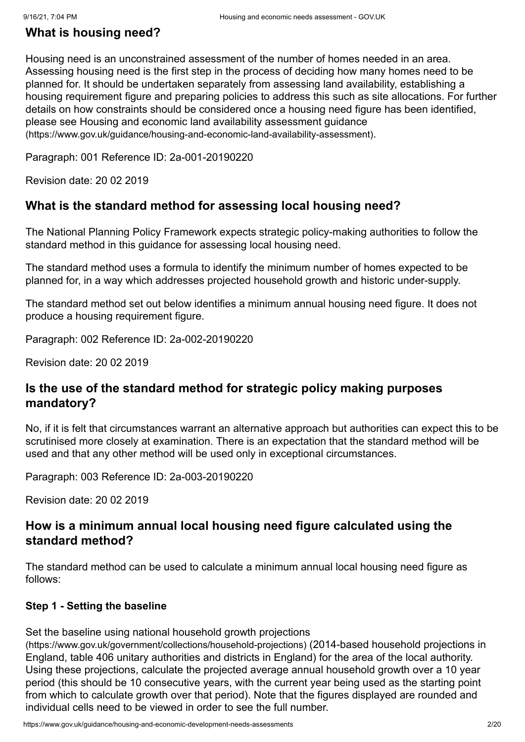### **What is housing need?**

Housing need is an unconstrained assessment of the number of homes needed in an area. Assessing housing need is the first step in the process of deciding how many homes need to be planned for. It should be undertaken separately from assessing land availability, establishing a housing requirement figure and preparing policies to address this such as site allocations. For further details on how constraints should be considered once a housing need figure has been identified, [please see Housing and economic land availability assessment guidance](https://www.gov.uk/guidance/housing-and-economic-land-availability-assessment) (https://www.gov.uk/guidance/housing-and-economic-land-availability-assessment).

Paragraph: 001 Reference ID: 2a-001-20190220

Revision date: 20 02 2019

#### **What is the standard method for assessing local housing need?**

The National Planning Policy Framework expects strategic policy-making authorities to follow the standard method in this guidance for assessing local housing need.

The standard method uses a formula to identify the minimum number of homes expected to be planned for, in a way which addresses projected household growth and historic under-supply.

The standard method set out below identifies a minimum annual housing need figure. It does not produce a housing requirement figure.

Paragraph: 002 Reference ID: 2a-002-20190220

Revision date: 20 02 2019

#### **Is the use of the standard method for strategic policy making purposes mandatory?**

No, if it is felt that circumstances warrant an alternative approach but authorities can expect this to be scrutinised more closely at examination. There is an expectation that the standard method will be used and that any other method will be used only in exceptional circumstances.

Paragraph: 003 Reference ID: 2a-003-20190220

Revision date: 20 02 2019

#### **How is a minimum annual local housing need figure calculated using the standard method?**

The standard method can be used to calculate a minimum annual local housing need figure as follows:

#### **Step 1 - Setting the baseline**

[Set the baseline using national household growth projections](https://www.gov.uk/government/collections/household-projections)

(https://www.gov.uk/government/collections/household-projections) (2014-based household projections in England, table 406 unitary authorities and districts in England) for the area of the local authority. Using these projections, calculate the projected average annual household growth over a 10 year period (this should be 10 consecutive years, with the current year being used as the starting point from which to calculate growth over that period). Note that the figures displayed are rounded and individual cells need to be viewed in order to see the full number.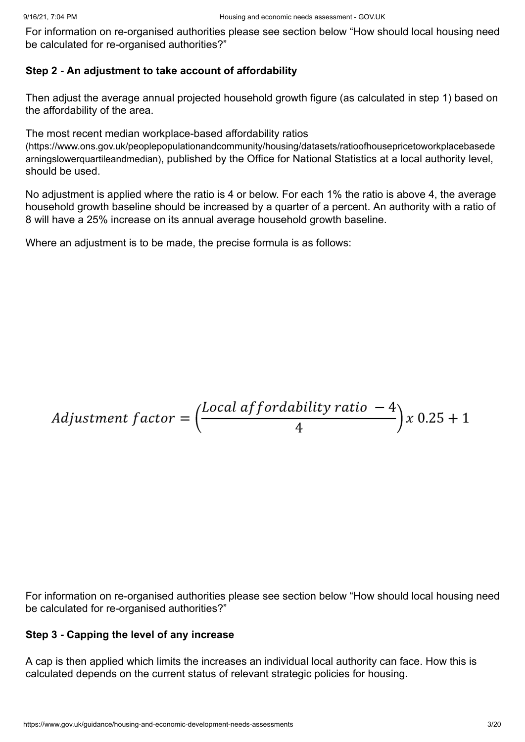[For information on re-organised authorities please see section below "How should local housing need](#page-11-0) be calculated for re-organised authorities?"

#### **Step 2 - An adjustment to take account of affordability**

Then adjust the average annual projected household growth figure (as calculated in step 1) based on the affordability of the area.

The most recent median workplace-based affordability ratios

[\(https://www.ons.gov.uk/peoplepopulationandcommunity/housing/datasets/ratioofhousepricetoworkplacebasede](https://www.ons.gov.uk/peoplepopulationandcommunity/housing/datasets/ratioofhousepricetoworkplacebasedearningslowerquartileandmedian) arningslowerquartileandmedian), published by the Office for National Statistics at a local authority level, should be used.

No adjustment is applied where the ratio is 4 or below. For each 1% the ratio is above 4, the average household growth baseline should be increased by a quarter of a percent. An authority with a ratio of 8 will have a 25% increase on its annual average household growth baseline.

Where an adjustment is to be made, the precise formula is as follows:

*Adjustment factor* = 
$$
\left(\frac{Local\text{ af }fordability\text{ ratio } -4}{4}\right)x\ 0.25 + 1
$$

[For information on re-organised authorities please see section below "How should local housing need](#page-11-0) be calculated for re-organised authorities?"

#### **Step 3 - Capping the level of any increase**

A cap is then applied which limits the increases an individual local authority can face. How this is calculated depends on the current status of relevant strategic policies for housing.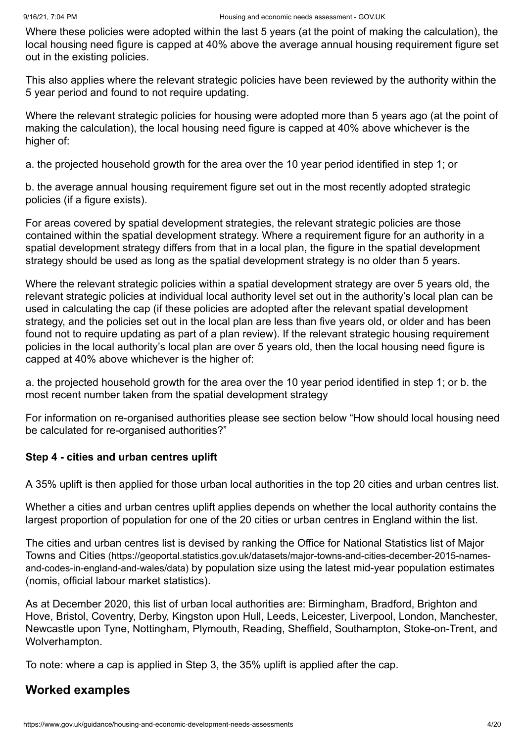Where these policies were adopted within the last 5 years (at the point of making the calculation), the local housing need figure is capped at 40% above the average annual housing requirement figure set out in the existing policies.

This also applies where the relevant strategic policies have been reviewed by the authority within the 5 year period and found to not require updating.

Where the relevant strategic policies for housing were adopted more than 5 years ago (at the point of making the calculation), the local housing need figure is capped at 40% above whichever is the higher of:

a. the projected household growth for the area over the 10 year period identified in step 1; or

b. the average annual housing requirement figure set out in the most recently adopted strategic policies (if a figure exists).

For areas covered by spatial development strategies, the relevant strategic policies are those contained within the spatial development strategy. Where a requirement figure for an authority in a spatial development strategy differs from that in a local plan, the figure in the spatial development strategy should be used as long as the spatial development strategy is no older than 5 years.

Where the relevant strategic policies within a spatial development strategy are over 5 years old, the relevant strategic policies at individual local authority level set out in the authority's local plan can be used in calculating the cap (if these policies are adopted after the relevant spatial development strategy, and the policies set out in the local plan are less than five years old, or older and has been found not to require updating as part of a plan review). If the relevant strategic housing requirement policies in the local authority's local plan are over 5 years old, then the local housing need figure is capped at 40% above whichever is the higher of:

a. the projected household growth for the area over the 10 year period identified in step 1; or b. the most recent number taken from the spatial development strategy

[For information on re-organised authorities please see section below "How should local housing need](#page-11-0) be calculated for re-organised authorities?"

#### **Step 4 - cities and urban centres uplift**

A 35% uplift is then applied for those urban local authorities in the top 20 cities and urban centres list.

Whether a cities and urban centres uplift applies depends on whether the local authority contains the largest proportion of population for one of the 20 cities or urban centres in England within the list.

[The cities and urban centres list is devised by ranking the Office for National Statistics list of Major](https://geoportal.statistics.gov.uk/datasets/major-towns-and-cities-december-2015-names-and-codes-in-england-and-wales/data) Towns and Cities (https://geoportal.statistics.gov.uk/datasets/major-towns-and-cities-december-2015-namesand-codes-in-england-and-wales/data) by population size using the latest mid-year population estimates (nomis, official labour market statistics).

As at December 2020, this list of urban local authorities are: Birmingham, Bradford, Brighton and Hove, Bristol, Coventry, Derby, Kingston upon Hull, Leeds, Leicester, Liverpool, London, Manchester, Newcastle upon Tyne, Nottingham, Plymouth, Reading, Sheffield, Southampton, Stoke-on-Trent, and Wolverhampton.

To note: where a cap is applied in Step 3, the 35% uplift is applied after the cap.

#### **Worked examples**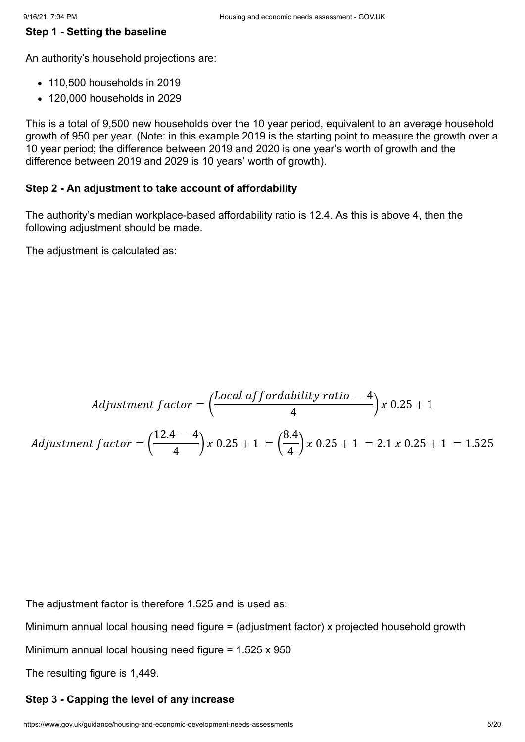#### **Step 1 - Setting the baseline**

An authority's household projections are:

- 110,500 households in 2019
- 120,000 households in 2029

This is a total of 9,500 new households over the 10 year period, equivalent to an average household growth of 950 per year. (Note: in this example 2019 is the starting point to measure the growth over a 10 year period; the difference between 2019 and 2020 is one year's worth of growth and the difference between 2019 and 2029 is 10 years' worth of growth).

#### **Step 2 - An adjustment to take account of affordability**

The authority's median workplace-based affordability ratio is 12.4. As this is above 4, then the following adjustment should be made.

The adjustment is calculated as:

Adjustment factor =

\n
$$
\left(\frac{\text{Local a} \frac{\text{if } \text{or} \text{d} \text{a} \text{if } \text{or} \text{a} - 4}{4}\right) x \cdot 0.25 + 1}{4} \text{ or } 0.25 + 1
$$
\nAdjustment factor =

\n
$$
\left(\frac{12.4 - 4}{4}\right) x \cdot 0.25 + 1 = \left(\frac{8.4}{4}\right) x \cdot 0.25 + 1 = 2.1 x \cdot 0.25 + 1 = 1.525
$$

The adjustment factor is therefore 1.525 and is used as:

Minimum annual local housing need figure = (adjustment factor) x projected household growth

Minimum annual local housing need figure = 1.525 x 950

The resulting figure is 1,449.

#### **Step 3 - Capping the level of any increase**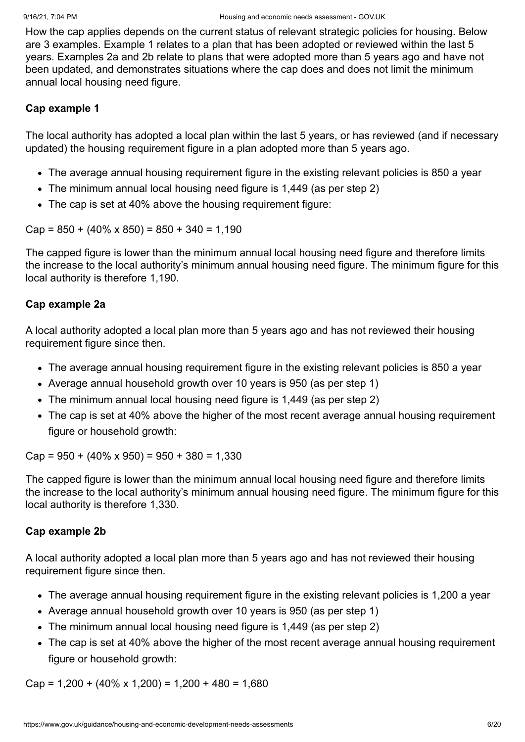How the cap applies depends on the current status of relevant strategic policies for housing. Below are 3 examples. Example 1 relates to a plan that has been adopted or reviewed within the last 5 years. Examples 2a and 2b relate to plans that were adopted more than 5 years ago and have not been updated, and demonstrates situations where the cap does and does not limit the minimum annual local housing need figure.

#### **Cap example 1**

The local authority has adopted a local plan within the last 5 years, or has reviewed (and if necessary updated) the housing requirement figure in a plan adopted more than 5 years ago.

- The average annual housing requirement figure in the existing relevant policies is 850 a year
- The minimum annual local housing need figure is 1,449 (as per step 2)
- The cap is set at 40% above the housing requirement figure:

 $Cap = 850 + (40\% \times 850) = 850 + 340 = 1,190$ 

The capped figure is lower than the minimum annual local housing need figure and therefore limits the increase to the local authority's minimum annual housing need figure. The minimum figure for this local authority is therefore 1,190.

#### **Cap example 2a**

A local authority adopted a local plan more than 5 years ago and has not reviewed their housing requirement figure since then.

- The average annual housing requirement figure in the existing relevant policies is 850 a year
- Average annual household growth over 10 years is 950 (as per step 1)
- The minimum annual local housing need figure is 1,449 (as per step 2)
- The cap is set at 40% above the higher of the most recent average annual housing requirement figure or household growth:

 $Cap = 950 + (40\% \times 950) = 950 + 380 = 1,330$ 

The capped figure is lower than the minimum annual local housing need figure and therefore limits the increase to the local authority's minimum annual housing need figure. The minimum figure for this local authority is therefore 1,330.

#### **Cap example 2b**

A local authority adopted a local plan more than 5 years ago and has not reviewed their housing requirement figure since then.

- The average annual housing requirement figure in the existing relevant policies is 1,200 a vear
- Average annual household growth over 10 years is 950 (as per step 1)
- The minimum annual local housing need figure is 1,449 (as per step 2)
- The cap is set at 40% above the higher of the most recent average annual housing requirement figure or household growth:

 $Cap = 1,200 + (40\% \times 1,200) = 1,200 + 480 = 1,680$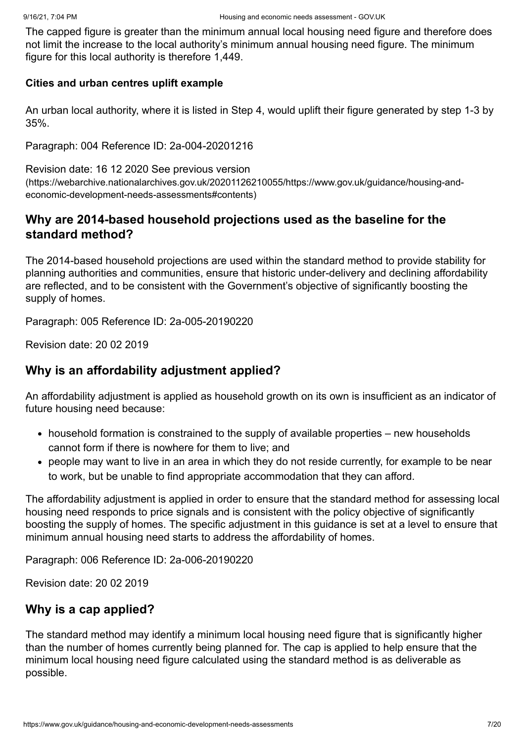The capped figure is greater than the minimum annual local housing need figure and therefore does not limit the increase to the local authority's minimum annual housing need figure. The minimum figure for this local authority is therefore 1,449.

#### **Cities and urban centres uplift example**

An urban local authority, where it is listed in Step 4, would uplift their figure generated by step 1-3 by 35%.

Paragraph: 004 Reference ID: 2a-004-20201216

Revision date: 16 12 2020 See previous version [\(https://webarchive.nationalarchives.gov.uk/20201126210055/https://www.gov.uk/guidance/housing-and](https://webarchive.nationalarchives.gov.uk/20201126210055/https://www.gov.uk/guidance/housing-and-economic-development-needs-assessments#contents)economic-development-needs-assessments#contents)

### **Why are 2014-based household projections used as the baseline for the standard method?**

The 2014-based household projections are used within the standard method to provide stability for planning authorities and communities, ensure that historic under-delivery and declining affordability are reflected, and to be consistent with the Government's objective of significantly boosting the supply of homes.

Paragraph: 005 Reference ID: 2a-005-20190220

Revision date: 20 02 2019

#### **Why is an affordability adjustment applied?**

An affordability adjustment is applied as household growth on its own is insufficient as an indicator of future housing need because:

- household formation is constrained to the supply of available properties new households cannot form if there is nowhere for them to live; and
- people may want to live in an area in which they do not reside currently, for example to be near to work, but be unable to find appropriate accommodation that they can afford.

The affordability adjustment is applied in order to ensure that the standard method for assessing local housing need responds to price signals and is consistent with the policy objective of significantly boosting the supply of homes. The specific adjustment in this guidance is set at a level to ensure that minimum annual housing need starts to address the affordability of homes.

Paragraph: 006 Reference ID: 2a-006-20190220

Revision date: 20 02 2019

#### **Why is a cap applied?**

The standard method may identify a minimum local housing need figure that is significantly higher than the number of homes currently being planned for. The cap is applied to help ensure that the minimum local housing need figure calculated using the standard method is as deliverable as possible.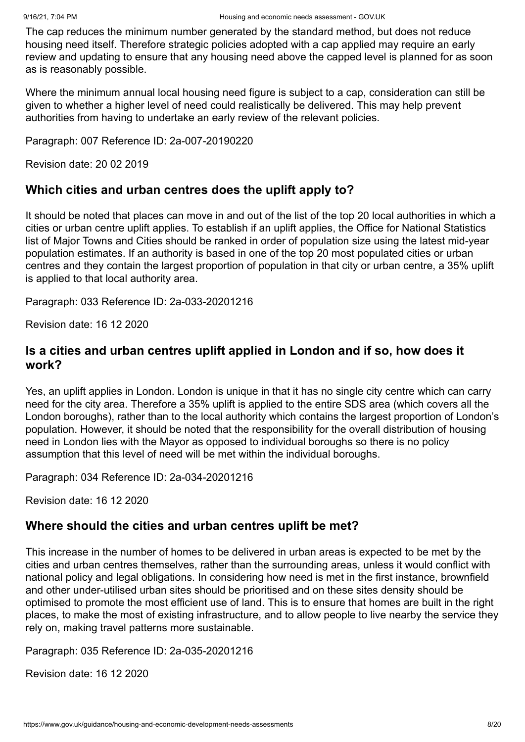The cap reduces the minimum number generated by the standard method, but does not reduce housing need itself. Therefore strategic policies adopted with a cap applied may require an early review and updating to ensure that any housing need above the capped level is planned for as soon as is reasonably possible.

Where the minimum annual local housing need figure is subject to a cap, consideration can still be given to whether a higher level of need could realistically be delivered. This may help prevent authorities from having to undertake an early review of the relevant policies.

Paragraph: 007 Reference ID: 2a-007-20190220

Revision date: 20 02 2019

### **Which cities and urban centres does the uplift apply to?**

It should be noted that places can move in and out of the list of the top 20 local authorities in which a cities or urban centre uplift applies. To establish if an uplift applies, the Office for National Statistics list of Major Towns and Cities should be ranked in order of population size using the latest mid-year population estimates. If an authority is based in one of the top 20 most populated cities or urban centres and they contain the largest proportion of population in that city or urban centre, a 35% uplift is applied to that local authority area.

Paragraph: 033 Reference ID: 2a-033-20201216

Revision date: 16 12 2020

#### **Is a cities and urban centres uplift applied in London and if so, how does it work?**

Yes, an uplift applies in London. London is unique in that it has no single city centre which can carry need for the city area. Therefore a 35% uplift is applied to the entire SDS area (which covers all the London boroughs), rather than to the local authority which contains the largest proportion of London's population. However, it should be noted that the responsibility for the overall distribution of housing need in London lies with the Mayor as opposed to individual boroughs so there is no policy assumption that this level of need will be met within the individual boroughs.

Paragraph: 034 Reference ID: 2a-034-20201216

Revision date: 16 12 2020

#### **Where should the cities and urban centres uplift be met?**

This increase in the number of homes to be delivered in urban areas is expected to be met by the cities and urban centres themselves, rather than the surrounding areas, unless it would conflict with national policy and legal obligations. In considering how need is met in the first instance, brownfield and other under-utilised urban sites should be prioritised and on these sites density should be optimised to promote the most efficient use of land. This is to ensure that homes are built in the right places, to make the most of existing infrastructure, and to allow people to live nearby the service they rely on, making travel patterns more sustainable.

Paragraph: 035 Reference ID: 2a-035-20201216

Revision date: 16 12 2020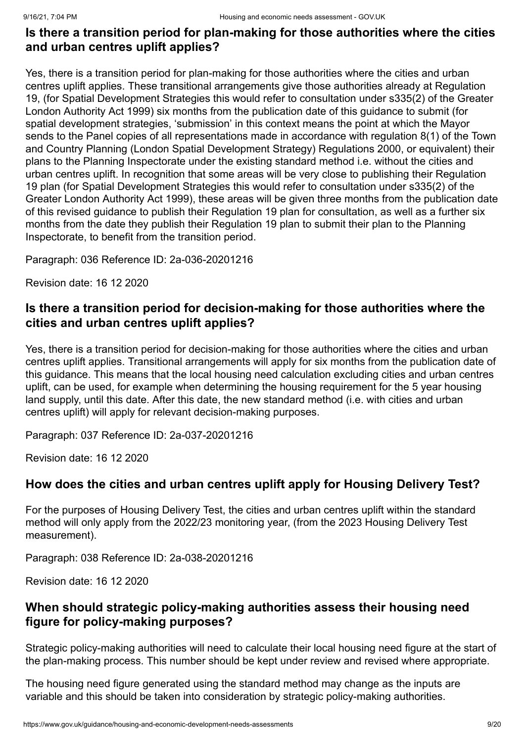### **Is there a transition period for plan-making for those authorities where the cities and urban centres uplift applies?**

Yes, there is a transition period for plan-making for those authorities where the cities and urban centres uplift applies. These transitional arrangements give those authorities already at Regulation 19, (for Spatial Development Strategies this would refer to consultation under s335(2) of the Greater London Authority Act 1999) six months from the publication date of this guidance to submit (for spatial development strategies, 'submission' in this context means the point at which the Mayor sends to the Panel copies of all representations made in accordance with regulation 8(1) of the Town and Country Planning (London Spatial Development Strategy) Regulations 2000, or equivalent) their plans to the Planning Inspectorate under the existing standard method i.e. without the cities and urban centres uplift. In recognition that some areas will be very close to publishing their Regulation 19 plan (for Spatial Development Strategies this would refer to consultation under s335(2) of the Greater London Authority Act 1999), these areas will be given three months from the publication date of this revised guidance to publish their Regulation 19 plan for consultation, as well as a further six months from the date they publish their Regulation 19 plan to submit their plan to the Planning Inspectorate, to benefit from the transition period.

Paragraph: 036 Reference ID: 2a-036-20201216

Revision date: 16 12 2020

### **Is there a transition period for decision-making for those authorities where the cities and urban centres uplift applies?**

Yes, there is a transition period for decision-making for those authorities where the cities and urban centres uplift applies. Transitional arrangements will apply for six months from the publication date of this guidance. This means that the local housing need calculation excluding cities and urban centres uplift, can be used, for example when determining the housing requirement for the 5 year housing land supply, until this date. After this date, the new standard method (i.e. with cities and urban centres uplift) will apply for relevant decision-making purposes.

Paragraph: 037 Reference ID: 2a-037-20201216

Revision date: 16 12 2020

#### **How does the cities and urban centres uplift apply for Housing Delivery Test?**

For the purposes of Housing Delivery Test, the cities and urban centres uplift within the standard method will only apply from the 2022/23 monitoring year, (from the 2023 Housing Delivery Test measurement).

Paragraph: 038 Reference ID: 2a-038-20201216

Revision date: 16 12 2020

### **When should strategic policy-making authorities assess their housing need figure for policy-making purposes?**

Strategic policy-making authorities will need to calculate their local housing need figure at the start of the plan-making process. This number should be kept under review and revised where appropriate.

The housing need figure generated using the standard method may change as the inputs are variable and this should be taken into consideration by strategic policy-making authorities.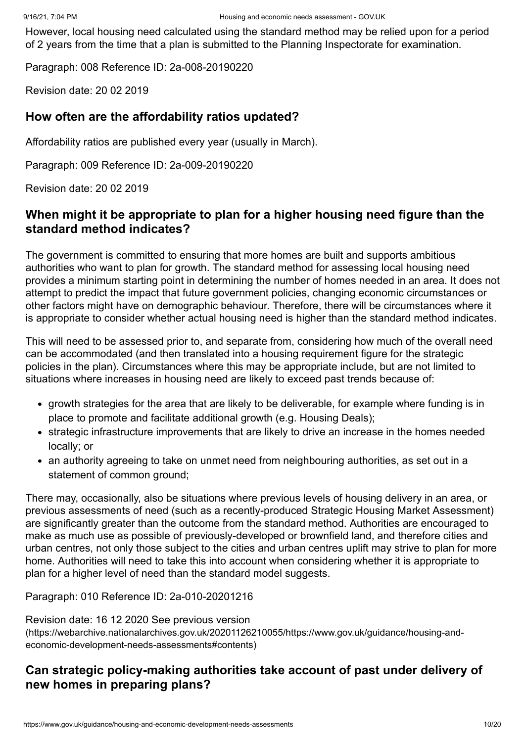However, local housing need calculated using the standard method may be relied upon for a period of 2 years from the time that a plan is submitted to the Planning Inspectorate for examination.

Paragraph: 008 Reference ID: 2a-008-20190220

Revision date: 20 02 2019

#### **How often are the affordability ratios updated?**

Affordability ratios are published every year (usually in March).

Paragraph: 009 Reference ID: 2a-009-20190220

Revision date: 20 02 2019

#### **When might it be appropriate to plan for a higher housing need figure than the standard method indicates?**

The government is committed to ensuring that more homes are built and supports ambitious authorities who want to plan for growth. The standard method for assessing local housing need provides a minimum starting point in determining the number of homes needed in an area. It does not attempt to predict the impact that future government policies, changing economic circumstances or other factors might have on demographic behaviour. Therefore, there will be circumstances where it is appropriate to consider whether actual housing need is higher than the standard method indicates.

This will need to be assessed prior to, and separate from, considering how much of the overall need can be accommodated (and then translated into a housing requirement figure for the strategic policies in the plan). Circumstances where this may be appropriate include, but are not limited to situations where increases in housing need are likely to exceed past trends because of:

- growth strategies for the area that are likely to be deliverable, for example where funding is in place to promote and facilitate additional growth (e.g. Housing Deals);
- strategic infrastructure improvements that are likely to drive an increase in the homes needed locally; or
- an authority agreeing to take on unmet need from neighbouring authorities, as set out in a statement of common ground;

There may, occasionally, also be situations where previous levels of housing delivery in an area, or previous assessments of need (such as a recently-produced Strategic Housing Market Assessment) are significantly greater than the outcome from the standard method. Authorities are encouraged to make as much use as possible of previously-developed or brownfield land, and therefore cities and urban centres, not only those subject to the cities and urban centres uplift may strive to plan for more home. Authorities will need to take this into account when considering whether it is appropriate to plan for a higher level of need than the standard model suggests.

Paragraph: 010 Reference ID: 2a-010-20201216

Revision date: 16 12 2020 See previous version

[\(https://webarchive.nationalarchives.gov.uk/20201126210055/https://www.gov.uk/guidance/housing-and](https://webarchive.nationalarchives.gov.uk/20201126210055/https://www.gov.uk/guidance/housing-and-economic-development-needs-assessments#contents)economic-development-needs-assessments#contents)

#### **Can strategic policy-making authorities take account of past under delivery of new homes in preparing plans?**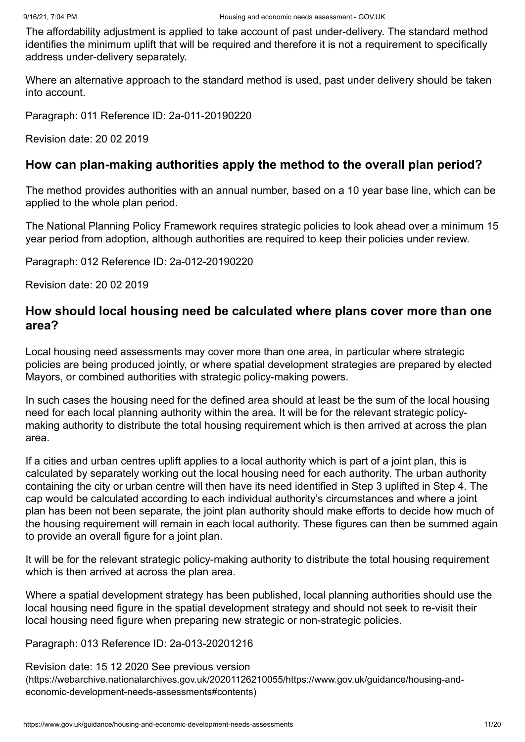The affordability adjustment is applied to take account of past under-delivery. The standard method identifies the minimum uplift that will be required and therefore it is not a requirement to specifically address under-delivery separately.

Where an alternative approach to the standard method is used, past under delivery should be taken into account.

Paragraph: 011 Reference ID: 2a-011-20190220

Revision date: 20 02 2019

#### **How can plan-making authorities apply the method to the overall plan period?**

The method provides authorities with an annual number, based on a 10 year base line, which can be applied to the whole plan period.

The National Planning Policy Framework requires strategic policies to look ahead over a minimum 15 year period from adoption, although authorities are required to keep their policies under review.

Paragraph: 012 Reference ID: 2a-012-20190220

Revision date: 20 02 2019

#### **How should local housing need be calculated where plans cover more than one area?**

Local housing need assessments may cover more than one area, in particular where strategic policies are being produced jointly, or where spatial development strategies are prepared by elected Mayors, or combined authorities with strategic policy-making powers.

In such cases the housing need for the defined area should at least be the sum of the local housing need for each local planning authority within the area. It will be for the relevant strategic policymaking authority to distribute the total housing requirement which is then arrived at across the plan area.

If a cities and urban centres uplift applies to a local authority which is part of a joint plan, this is calculated by separately working out the local housing need for each authority. The urban authority containing the city or urban centre will then have its need identified in Step 3 uplifted in Step 4. The cap would be calculated according to each individual authority's circumstances and where a joint plan has been not been separate, the joint plan authority should make efforts to decide how much of the housing requirement will remain in each local authority. These figures can then be summed again to provide an overall figure for a joint plan.

It will be for the relevant strategic policy-making authority to distribute the total housing requirement which is then arrived at across the plan area.

Where a spatial development strategy has been published, local planning authorities should use the local housing need figure in the spatial development strategy and should not seek to re-visit their local housing need figure when preparing new strategic or non-strategic policies.

Paragraph: 013 Reference ID: 2a-013-20201216

Revision date: 15 12 2020 See previous version [\(https://webarchive.nationalarchives.gov.uk/20201126210055/https://www.gov.uk/guidance/housing-and](https://webarchive.nationalarchives.gov.uk/20201126210055/https://www.gov.uk/guidance/housing-and-economic-development-needs-assessments#contents)economic-development-needs-assessments#contents)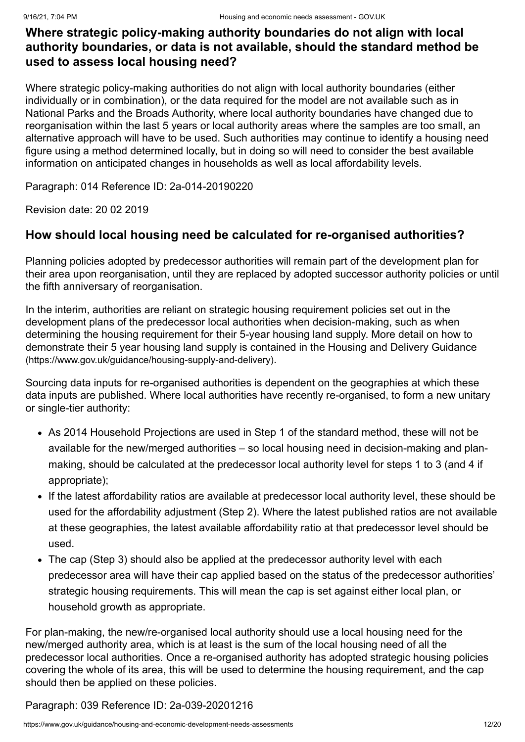# **Where strategic policy-making authority boundaries do not align with local authority boundaries, or data is not available, should the standard method be used to assess local housing need?**

Where strategic policy-making authorities do not align with local authority boundaries (either individually or in combination), or the data required for the model are not available such as in National Parks and the Broads Authority, where local authority boundaries have changed due to reorganisation within the last 5 years or local authority areas where the samples are too small, an alternative approach will have to be used. Such authorities may continue to identify a housing need figure using a method determined locally, but in doing so will need to consider the best available information on anticipated changes in households as well as local affordability levels.

Paragraph: 014 Reference ID: 2a-014-20190220

Revision date: 20 02 2019

# <span id="page-11-0"></span>**How should local housing need be calculated for re-organised authorities?**

Planning policies adopted by predecessor authorities will remain part of the development plan for their area upon reorganisation, until they are replaced by adopted successor authority policies or until the fifth anniversary of reorganisation.

In the interim, authorities are reliant on strategic housing requirement policies set out in the development plans of the predecessor local authorities when decision-making, such as when determining the housing requirement for their 5-year housing land supply. More detail on how to [demonstrate their 5 year housing land supply is contained in the Housing and Delivery Guidance](https://www.gov.uk/guidance/housing-supply-and-delivery) (https://www.gov.uk/guidance/housing-supply-and-delivery).

Sourcing data inputs for re-organised authorities is dependent on the geographies at which these data inputs are published. Where local authorities have recently re-organised, to form a new unitary or single-tier authority:

- As 2014 Household Projections are used in Step 1 of the standard method, these will not be available for the new/merged authorities – so local housing need in decision-making and planmaking, should be calculated at the predecessor local authority level for steps 1 to 3 (and 4 if appropriate);
- If the latest affordability ratios are available at predecessor local authority level, these should be used for the affordability adjustment (Step 2). Where the latest published ratios are not available at these geographies, the latest available affordability ratio at that predecessor level should be used.
- The cap (Step 3) should also be applied at the predecessor authority level with each predecessor area will have their cap applied based on the status of the predecessor authorities' strategic housing requirements. This will mean the cap is set against either local plan, or household growth as appropriate.

For plan-making, the new/re-organised local authority should use a local housing need for the new/merged authority area, which is at least is the sum of the local housing need of all the predecessor local authorities. Once a re-organised authority has adopted strategic housing policies covering the whole of its area, this will be used to determine the housing requirement, and the cap should then be applied on these policies.

Paragraph: 039 Reference ID: 2a-039-20201216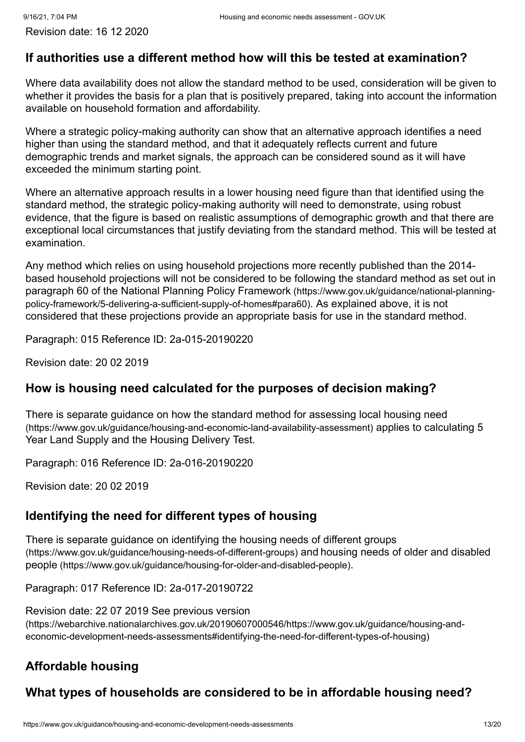# **If authorities use a different method how will this be tested at examination?**

Where data availability does not allow the standard method to be used, consideration will be given to whether it provides the basis for a plan that is positively prepared, taking into account the information available on household formation and affordability.

Where a strategic policy-making authority can show that an alternative approach identifies a need higher than using the standard method, and that it adequately reflects current and future demographic trends and market signals, the approach can be considered sound as it will have exceeded the minimum starting point.

Where an alternative approach results in a lower housing need figure than that identified using the standard method, the strategic policy-making authority will need to demonstrate, using robust evidence, that the figure is based on realistic assumptions of demographic growth and that there are exceptional local circumstances that justify deviating from the standard method. This will be tested at examination.

Any method which relies on using household projections more recently published than the 2014 based household projections will not be considered to be following the standard method as set out in [paragraph 60 of the National Planning Policy Framework](https://www.gov.uk/guidance/national-planning-policy-framework/5-delivering-a-sufficient-supply-of-homes#para60) (https://www.gov.uk/guidance/national-planningpolicy-framework/5-delivering-a-sufficient-supply-of-homes#para60). As explained above, it is not considered that these projections provide an appropriate basis for use in the standard method.

Paragraph: 015 Reference ID: 2a-015-20190220

Revision date: 20 02 2019

# **How is housing need calculated for the purposes of decision making?**

[There is separate guidance on how the standard method for assessing local housing need](https://www.gov.uk/guidance/housing-and-economic-land-availability-assessment) (https://www.gov.uk/guidance/housing-and-economic-land-availability-assessment) applies to calculating 5 Year Land Supply and the Housing Delivery Test.

Paragraph: 016 Reference ID: 2a-016-20190220

Revision date: 20 02 2019

# <span id="page-12-0"></span>**Identifying the need for different types of housing**

[There is separate guidance on identifying the housing needs of different groups](https://www.gov.uk/guidance/housing-needs-of-different-groups) (https://www.gov.uk/guidance/housing-needs-of-different-groups) and housing needs of older and disabled people [\(https://www.gov.uk/guidance/housing-for-older-and-disabled-people\)](https://www.gov.uk/guidance/housing-for-older-and-disabled-people).

Paragraph: 017 Reference ID: 2a-017-20190722

Revision date: 22 07 2019 See previous version [\(https://webarchive.nationalarchives.gov.uk/20190607000546/https://www.gov.uk/guidance/housing-and](https://webarchive.nationalarchives.gov.uk/20190607000546/https://www.gov.uk/guidance/housing-and-economic-development-needs-assessments#identifying-the-need-for-different-types-of-housing)economic-development-needs-assessments#identifying-the-need-for-different-types-of-housing)

# <span id="page-12-1"></span>**Affordable housing**

# **What types of households are considered to be in affordable housing need?**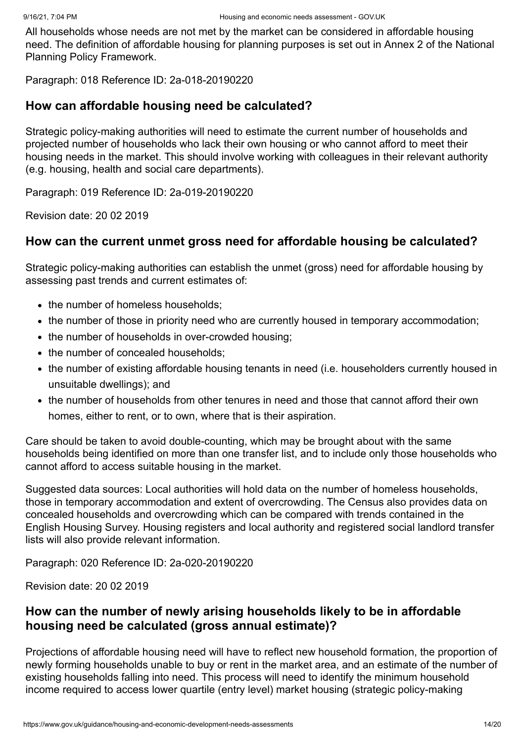All households whose needs are not met by the market can be considered in affordable housing need. The definition of affordable housing for planning purposes is set out in Annex 2 of the National Planning Policy Framework.

Paragraph: 018 Reference ID: 2a-018-20190220

#### **How can affordable housing need be calculated?**

Strategic policy-making authorities will need to estimate the current number of households and projected number of households who lack their own housing or who cannot afford to meet their housing needs in the market. This should involve working with colleagues in their relevant authority (e.g. housing, health and social care departments).

Paragraph: 019 Reference ID: 2a-019-20190220

Revision date: 20 02 2019

### **How can the current unmet gross need for affordable housing be calculated?**

Strategic policy-making authorities can establish the unmet (gross) need for affordable housing by assessing past trends and current estimates of:

- the number of homeless households;
- the number of those in priority need who are currently housed in temporary accommodation;
- the number of households in over-crowded housing;
- the number of concealed households:
- the number of existing affordable housing tenants in need (i.e. householders currently housed in unsuitable dwellings); and
- the number of households from other tenures in need and those that cannot afford their own homes, either to rent, or to own, where that is their aspiration.

Care should be taken to avoid double-counting, which may be brought about with the same households being identified on more than one transfer list, and to include only those households who cannot afford to access suitable housing in the market.

Suggested data sources: Local authorities will hold data on the number of homeless households, those in temporary accommodation and extent of overcrowding. The Census also provides data on concealed households and overcrowding which can be compared with trends contained in the English Housing Survey. Housing registers and local authority and registered social landlord transfer lists will also provide relevant information.

Paragraph: 020 Reference ID: 2a-020-20190220

Revision date: 20 02 2019

# **How can the number of newly arising households likely to be in affordable housing need be calculated (gross annual estimate)?**

Projections of affordable housing need will have to reflect new household formation, the proportion of newly forming households unable to buy or rent in the market area, and an estimate of the number of existing households falling into need. This process will need to identify the minimum household income required to access lower quartile (entry level) market housing (strategic policy-making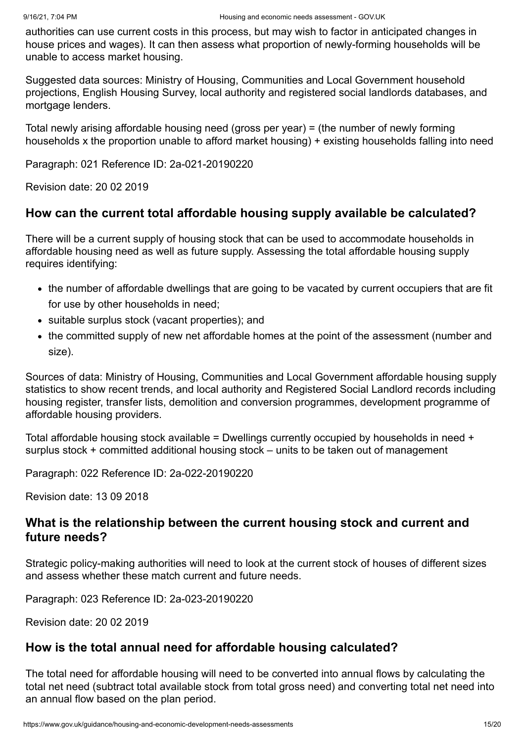authorities can use current costs in this process, but may wish to factor in anticipated changes in house prices and wages). It can then assess what proportion of newly-forming households will be unable to access market housing.

Suggested data sources: Ministry of Housing, Communities and Local Government household projections, English Housing Survey, local authority and registered social landlords databases, and mortgage lenders.

Total newly arising affordable housing need (gross per year) = (the number of newly forming households x the proportion unable to afford market housing) + existing households falling into need

Paragraph: 021 Reference ID: 2a-021-20190220

Revision date: 20 02 2019

# **How can the current total affordable housing supply available be calculated?**

There will be a current supply of housing stock that can be used to accommodate households in affordable housing need as well as future supply. Assessing the total affordable housing supply requires identifying:

- the number of affordable dwellings that are going to be vacated by current occupiers that are fit for use by other households in need;
- suitable surplus stock (vacant properties); and
- the committed supply of new net affordable homes at the point of the assessment (number and size).

Sources of data: Ministry of Housing, Communities and Local Government affordable housing supply statistics to show recent trends, and local authority and Registered Social Landlord records including housing register, transfer lists, demolition and conversion programmes, development programme of affordable housing providers.

Total affordable housing stock available = Dwellings currently occupied by households in need + surplus stock + committed additional housing stock – units to be taken out of management

Paragraph: 022 Reference ID: 2a-022-20190220

Revision date: 13 09 2018

### **What is the relationship between the current housing stock and current and future needs?**

Strategic policy-making authorities will need to look at the current stock of houses of different sizes and assess whether these match current and future needs.

Paragraph: 023 Reference ID: 2a-023-20190220

Revision date: 20 02 2019

#### **How is the total annual need for affordable housing calculated?**

The total need for affordable housing will need to be converted into annual flows by calculating the total net need (subtract total available stock from total gross need) and converting total net need into an annual flow based on the plan period.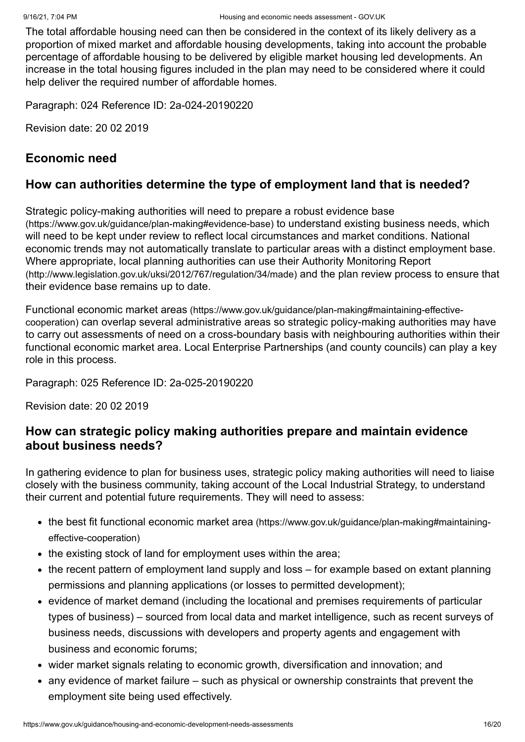The total affordable housing need can then be considered in the context of its likely delivery as a proportion of mixed market and affordable housing developments, taking into account the probable percentage of affordable housing to be delivered by eligible market housing led developments. An increase in the total housing figures included in the plan may need to be considered where it could help deliver the required number of affordable homes.

Paragraph: 024 Reference ID: 2a-024-20190220

Revision date: 20 02 2019

### <span id="page-15-0"></span>**Economic need**

### **How can authorities determine the type of employment land that is needed?**

[Strategic policy-making authorities will need to prepare a robust evidence base](https://www.gov.uk/guidance/plan-making#evidence-base) (https://www.gov.uk/guidance/plan-making#evidence-base) to understand existing business needs, which will need to be kept under review to reflect local circumstances and market conditions. National economic trends may not automatically translate to particular areas with a distinct employment base. [Where appropriate, local planning authorities can use their Authority Monitoring Report](http://www.legislation.gov.uk/uksi/2012/767/regulation/34/made) (http://www.legislation.gov.uk/uksi/2012/767/regulation/34/made) and the plan review process to ensure that their evidence base remains up to date.

Functional economic market areas (https://www.gov.uk/guidance/plan-making#maintaining-effectivecooperation) [can overlap several administrative areas so strategic policy-making authorities ma](https://www.gov.uk/guidance/plan-making#maintaining-effective-cooperation)y have to carry out assessments of need on a cross-boundary basis with neighbouring authorities within their functional economic market area. Local Enterprise Partnerships (and county councils) can play a key role in this process.

Paragraph: 025 Reference ID: 2a-025-20190220

Revision date: 20 02 2019

### **How can strategic policy making authorities prepare and maintain evidence about business needs?**

In gathering evidence to plan for business uses, strategic policy making authorities will need to liaise closely with the business community, taking account of the Local Industrial Strategy, to understand their current and potential future requirements. They will need to assess:

- the best fit functional economic market area [\(https://www.gov.uk/guidance/plan-making#maintaining](https://www.gov.uk/guidance/plan-making#maintaining-effective-cooperation)effective-cooperation)
- the existing stock of land for employment uses within the area;
- the recent pattern of employment land supply and loss for example based on extant planning permissions and planning applications (or losses to permitted development);
- evidence of market demand (including the locational and premises requirements of particular types of business) – sourced from local data and market intelligence, such as recent surveys of business needs, discussions with developers and property agents and engagement with business and economic forums;
- wider market signals relating to economic growth, diversification and innovation; and
- any evidence of market failure such as physical or ownership constraints that prevent the employment site being used effectively.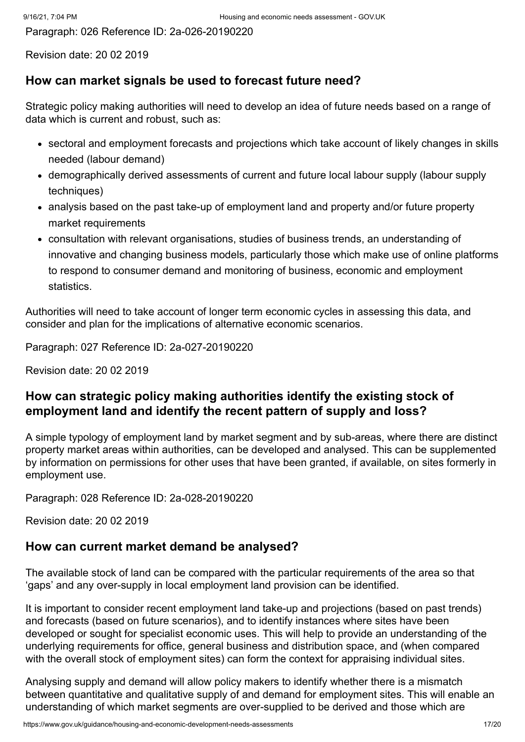Paragraph: 026 Reference ID: 2a-026-20190220

Revision date: 20 02 2019

#### **How can market signals be used to forecast future need?**

Strategic policy making authorities will need to develop an idea of future needs based on a range of data which is current and robust, such as:

- sectoral and employment forecasts and projections which take account of likely changes in skills needed (labour demand)
- demographically derived assessments of current and future local labour supply (labour supply techniques)
- analysis based on the past take-up of employment land and property and/or future property market requirements
- consultation with relevant organisations, studies of business trends, an understanding of innovative and changing business models, particularly those which make use of online platforms to respond to consumer demand and monitoring of business, economic and employment statistics.

Authorities will need to take account of longer term economic cycles in assessing this data, and consider and plan for the implications of alternative economic scenarios.

Paragraph: 027 Reference ID: 2a-027-20190220

Revision date: 20 02 2019

# **How can strategic policy making authorities identify the existing stock of employment land and identify the recent pattern of supply and loss?**

A simple typology of employment land by market segment and by sub-areas, where there are distinct property market areas within authorities, can be developed and analysed. This can be supplemented by information on permissions for other uses that have been granted, if available, on sites formerly in employment use.

Paragraph: 028 Reference ID: 2a-028-20190220

Revision date: 20 02 2019

# **How can current market demand be analysed?**

The available stock of land can be compared with the particular requirements of the area so that 'gaps' and any over-supply in local employment land provision can be identified.

It is important to consider recent employment land take-up and projections (based on past trends) and forecasts (based on future scenarios), and to identify instances where sites have been developed or sought for specialist economic uses. This will help to provide an understanding of the underlying requirements for office, general business and distribution space, and (when compared with the overall stock of employment sites) can form the context for appraising individual sites.

Analysing supply and demand will allow policy makers to identify whether there is a mismatch between quantitative and qualitative supply of and demand for employment sites. This will enable an understanding of which market segments are over-supplied to be derived and those which are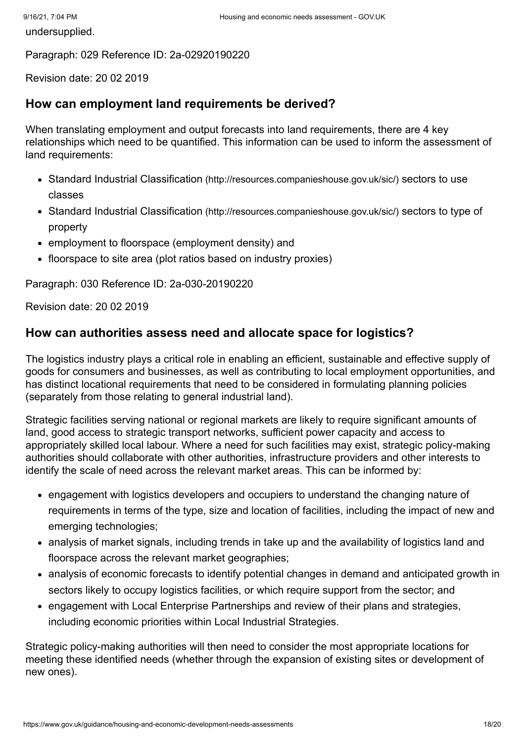undersupplied.

Paragraph: 029 Reference ID: 2a-02920190220

Revision date: 20 02 2019

### **How can employment land requirements be derived?**

When translating employment and output forecasts into land requirements, there are 4 key relationships which need to be quantified. This information can be used to inform the assessment of land requirements:

- Standard Industrial Classification [\(http://resources.companieshouse.gov.uk/sic/\)](http://resources.companieshouse.gov.uk/sic/) sectors to use classes
- Standard Industrial Classification [\(http://resources.companieshouse.gov.uk/sic/\)](http://resources.companieshouse.gov.uk/sic/) sectors to type of property
- employment to floorspace (employment density) and
- floorspace to site area (plot ratios based on industry proxies)

Paragraph: 030 Reference ID: 2a-030-20190220

Revision date: 20 02 2019

### **How can authorities assess need and allocate space for logistics?**

The logistics industry plays a critical role in enabling an efficient, sustainable and effective supply of goods for consumers and businesses, as well as contributing to local employment opportunities, and has distinct locational requirements that need to be considered in formulating planning policies (separately from those relating to general industrial land).

Strategic facilities serving national or regional markets are likely to require significant amounts of land, good access to strategic transport networks, sufficient power capacity and access to appropriately skilled local labour. Where a need for such facilities may exist, strategic policy-making authorities should collaborate with other authorities, infrastructure providers and other interests to identify the scale of need across the relevant market areas. This can be informed by:

- engagement with logistics developers and occupiers to understand the changing nature of requirements in terms of the type, size and location of facilities, including the impact of new and emerging technologies;
- analysis of market signals, including trends in take up and the availability of logistics land and floorspace across the relevant market geographies;
- analysis of economic forecasts to identify potential changes in demand and anticipated growth in sectors likely to occupy logistics facilities, or which require support from the sector; and
- engagement with Local Enterprise Partnerships and review of their plans and strategies, including economic priorities within Local Industrial Strategies.

Strategic policy-making authorities will then need to consider the most appropriate locations for meeting these identified needs (whether through the expansion of existing sites or development of new ones).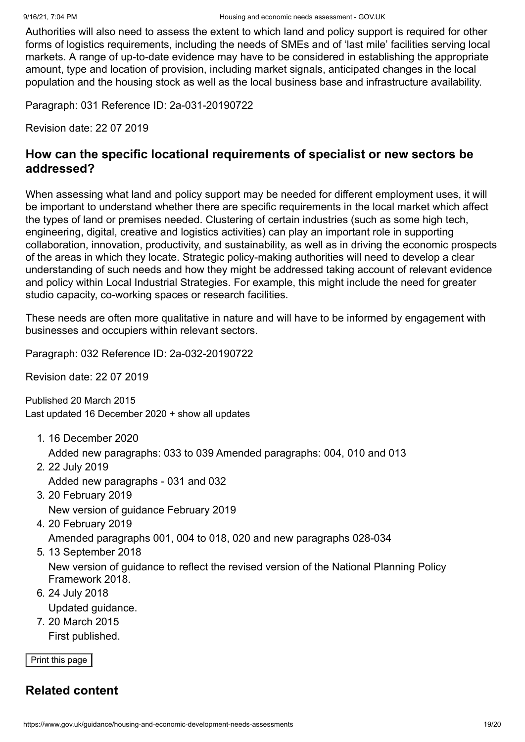Authorities will also need to assess the extent to which land and policy support is required for other forms of logistics requirements, including the needs of SMEs and of 'last mile' facilities serving local markets. A range of up-to-date evidence may have to be considered in establishing the appropriate amount, type and location of provision, including market signals, anticipated changes in the local population and the housing stock as well as the local business base and infrastructure availability.

Paragraph: 031 Reference ID: 2a-031-20190722

Revision date: 22 07 2019

### **How can the specific locational requirements of specialist or new sectors be addressed?**

When assessing what land and policy support may be needed for different employment uses, it will be important to understand whether there are specific requirements in the local market which affect the types of land or premises needed. Clustering of certain industries (such as some high tech, engineering, digital, creative and logistics activities) can play an important role in supporting collaboration, innovation, productivity, and sustainability, as well as in driving the economic prospects of the areas in which they locate. Strategic policy-making authorities will need to develop a clear understanding of such needs and how they might be addressed taking account of relevant evidence and policy within Local Industrial Strategies. For example, this might include the need for greater studio capacity, co-working spaces or research facilities.

These needs are often more qualitative in nature and will have to be informed by engagement with businesses and occupiers within relevant sectors.

Paragraph: 032 Reference ID: 2a-032-20190722

Revision date: 22 07 2019

<span id="page-18-0"></span>Published 20 March 2015 Last updated 16 December 2020 + show all [updates](#page-18-1)

- <span id="page-18-1"></span>1. 16 December 2020 Added new paragraphs: 033 to 039 Amended paragraphs: 004, 010 and 013
- 2. 22 July 2019 Added new paragraphs - 031 and 032
- 3. 20 February 2019 New version of guidance February 2019
- 4. 20 February 2019

Amended paragraphs 001, 004 to 018, 020 and new paragraphs 028-034

5. 13 September 2018

New version of guidance to reflect the revised version of the National Planning Policy Framework 2018.

- 6. 24 July 2018 Updated guidance.
- 7. 20 March 2015 First published.

Print this page

# **Related content**